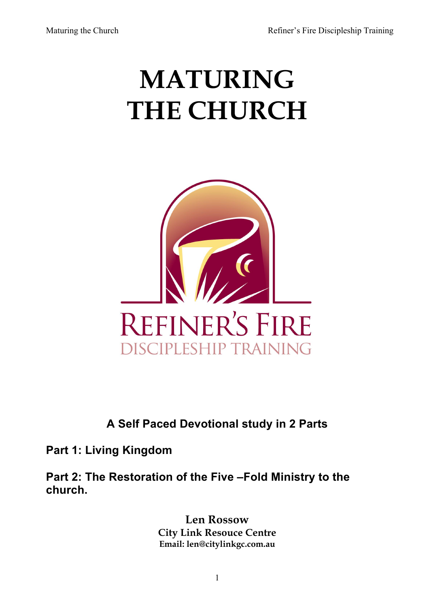# **MATURING THE CHURCH**



# **A Self Paced Devotional study in 2 Parts**

**Part 1: Living Kingdom**

**Part 2: The Restoration of the Five –Fold Ministry to the church.**

> **Len Rossow City Link Resouce Centre Email: len@citylinkgc.com.au**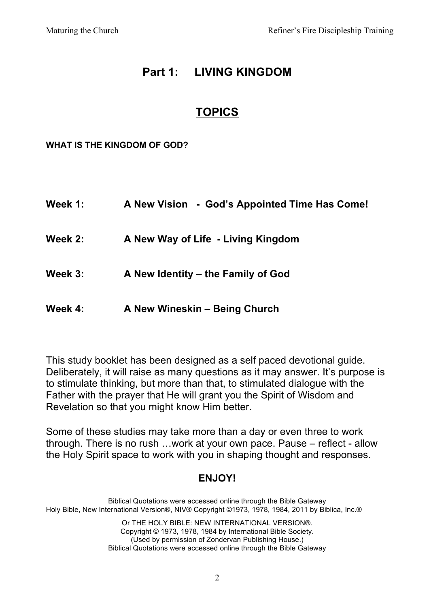# **Part 1: LIVING KINGDOM**

# **TOPICS**

**WHAT IS THE KINGDOM OF GOD?**

| Week 1: | A New Vision - God's Appointed Time Has Come! |
|---------|-----------------------------------------------|
| Week 2: | A New Way of Life - Living Kingdom            |
| Week 3: | A New Identity – the Family of God            |
| Week 4: | A New Wineskin - Being Church                 |

This study booklet has been designed as a self paced devotional guide. Deliberately, it will raise as many questions as it may answer. It's purpose is to stimulate thinking, but more than that, to stimulated dialogue with the Father with the prayer that He will grant you the Spirit of Wisdom and Revelation so that you might know Him better.

Some of these studies may take more than a day or even three to work through. There is no rush …work at your own pace. Pause – reflect - allow the Holy Spirit space to work with you in shaping thought and responses.

# **ENJOY!**

Biblical Quotations were accessed online through the Bible Gateway Holy Bible, New International Version®, NIV® Copyright ©1973, 1978, 1984, 2011 by Biblica, Inc.®

Or THE HOLY BIBLE: NEW INTERNATIONAL VERSION®. Copyright © 1973, 1978, 1984 by International Bible Society. (Used by permission of Zondervan Publishing House.) Biblical Quotations were accessed online through the Bible Gateway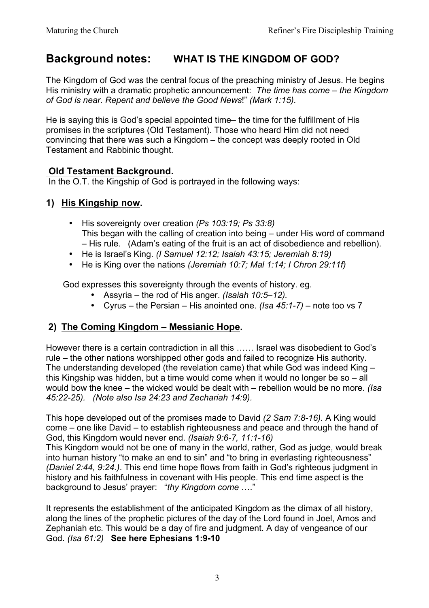# **Background notes: WHAT IS THE KINGDOM OF GOD?**

The Kingdom of God was the central focus of the preaching ministry of Jesus. He begins His ministry with a dramatic prophetic announcement: *The time has come – the Kingdom of God is near. Repent and believe the Good News*!" *(Mark 1:15).*

He is saying this is God's special appointed time– the time for the fulfillment of His promises in the scriptures (Old Testament). Those who heard Him did not need convincing that there was such a Kingdom – the concept was deeply rooted in Old Testament and Rabbinic thought.

#### **Old Testament Background.**

In the O.T. the Kingship of God is portrayed in the following ways:

#### **1) His Kingship now.**

- His sovereignty over creation *(Ps 103:19; Ps 33:8)* This began with the calling of creation into being – under His word of command – His rule. (Adam's eating of the fruit is an act of disobedience and rebellion).
- He is Israel's King. *(I Samuel 12:12; Isaiah 43:15; Jeremiah 8:19)*
- He is King over the nations *(Jeremiah 10:7; Mal 1:14; I Chron 29:11f)*

God expresses this sovereignty through the events of history. eg.

- Assyria the rod of His anger. *(Isaiah 10:5–12).*
- Cyrus the Persian His anointed one. *(Isa 45:1-7)* note too vs 7

#### **2) The Coming Kingdom – Messianic Hope.**

However there is a certain contradiction in all this …… Israel was disobedient to God's rule – the other nations worshipped other gods and failed to recognize His authority. The understanding developed (the revelation came) that while God was indeed King – this Kingship was hidden, but a time would come when it would no longer be so – all would bow the knee – the wicked would be dealt with – rebellion would be no more. *(Isa 45:22-25). (Note also Isa 24:23 and Zechariah 14:9).*

This hope developed out of the promises made to David *(2 Sam 7:8-16).* A King would come – one like David – to establish righteousness and peace and through the hand of God, this Kingdom would never end. *(Isaiah 9:6-7, 11:1-16)*

This Kingdom would not be one of many in the world, rather, God as judge, would break into human history "to make an end to sin" and "to bring in everlasting righteousness" *(Daniel 2:44, 9:24.)*. This end time hope flows from faith in God's righteous judgment in history and his faithfulness in covenant with His people. This end time aspect is the background to Jesus' prayer: "*thy Kingdom come* …."

It represents the establishment of the anticipated Kingdom as the climax of all history, along the lines of the prophetic pictures of the day of the Lord found in Joel, Amos and Zephaniah etc. This would be a day of fire and judgment. A day of vengeance of our God. *(Isa 61:2)* **See here Ephesians 1:9-10**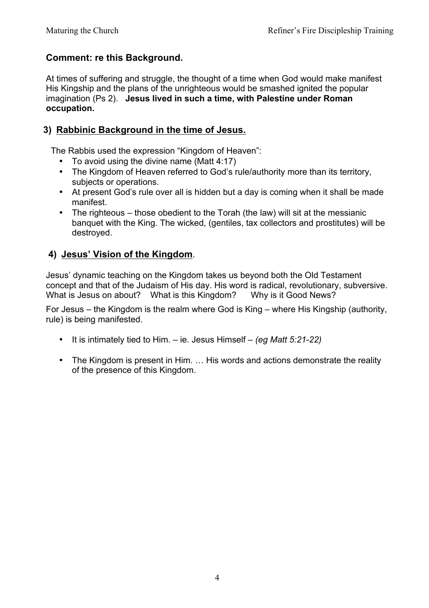#### **Comment: re this Background.**

At times of suffering and struggle, the thought of a time when God would make manifest His Kingship and the plans of the unrighteous would be smashed ignited the popular imagination (Ps 2). **Jesus lived in such a time, with Palestine under Roman occupation.**

#### **3) Rabbinic Background in the time of Jesus.**

The Rabbis used the expression "Kingdom of Heaven":

- To avoid using the divine name (Matt 4:17)
- The Kingdom of Heaven referred to God's rule/authority more than its territory, subjects or operations.
- At present God's rule over all is hidden but a day is coming when it shall be made manifest.
- The righteous those obedient to the Torah (the law) will sit at the messianic banquet with the King. The wicked, (gentiles, tax collectors and prostitutes) will be destroyed.

#### **4) Jesus' Vision of the Kingdom**.

Jesus' dynamic teaching on the Kingdom takes us beyond both the Old Testament concept and that of the Judaism of His day. His word is radical, revolutionary, subversive. What is Jesus on about? What is this Kingdom? Why is it Good News?

For Jesus – the Kingdom is the realm where God is King – where His Kingship (authority, rule) is being manifested.

- It is intimately tied to Him. ie. Jesus Himself *(eg Matt 5:21*-*22)*
- The Kingdom is present in Him. … His words and actions demonstrate the reality of the presence of this Kingdom.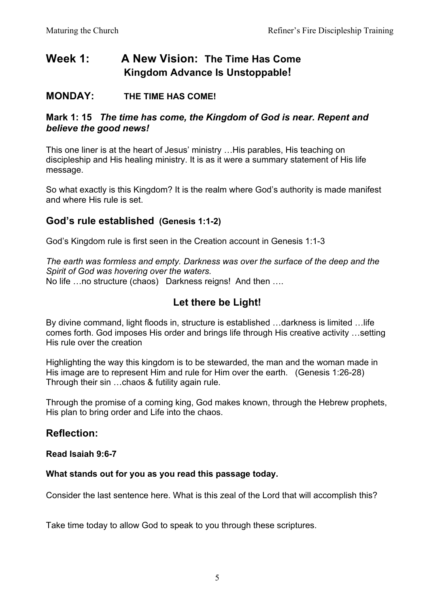# **Week 1: A New Vision: The Time Has Come Kingdom Advance Is Unstoppable!**

#### **MONDAY: THE TIME HAS COME!**

#### **Mark 1: 15** *The time has come, the Kingdom of God is near. Repent and believe the good news!*

This one liner is at the heart of Jesus' ministry …His parables, His teaching on discipleship and His healing ministry. It is as it were a summary statement of His life message.

So what exactly is this Kingdom? It is the realm where God's authority is made manifest and where His rule is set.

#### **God's rule established (Genesis 1:1-2)**

God's Kingdom rule is first seen in the Creation account in Genesis 1:1-3

*The earth was formless and empty. Darkness was over the surface of the deep and the Spirit of God was hovering over the waters.* No life …no structure (chaos) Darkness reigns! And then ….

# **Let there be Light!**

By divine command, light floods in, structure is established …darkness is limited …life comes forth. God imposes His order and brings life through His creative activity …setting His rule over the creation

Highlighting the way this kingdom is to be stewarded, the man and the woman made in His image are to represent Him and rule for Him over the earth. (Genesis 1:26-28) Through their sin …chaos & futility again rule.

Through the promise of a coming king, God makes known, through the Hebrew prophets, His plan to bring order and Life into the chaos.

## **Reflection:**

#### **Read Isaiah 9:6-7**

#### **What stands out for you as you read this passage today.**

Consider the last sentence here. What is this zeal of the Lord that will accomplish this?

Take time today to allow God to speak to you through these scriptures.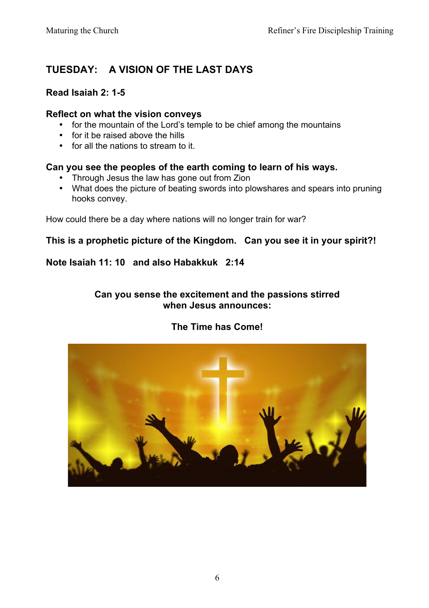# **TUESDAY: A VISION OF THE LAST DAYS**

#### **Read Isaiah 2: 1-5**

#### **Reflect on what the vision conveys**

- for the mountain of the Lord's temple to be chief among the mountains
- for it be raised above the hills
- for all the nations to stream to it.

#### **Can you see the peoples of the earth coming to learn of his ways.**

- Through Jesus the law has gone out from Zion
- What does the picture of beating swords into plowshares and spears into pruning hooks convey.

How could there be a day where nations will no longer train for war?

#### **This is a prophetic picture of the Kingdom. Can you see it in your spirit?!**

#### **Note Isaiah 11: 10 and also Habakkuk 2:14**

#### **Can you sense the excitement and the passions stirred when Jesus announces:**

#### **The Time has Come!**

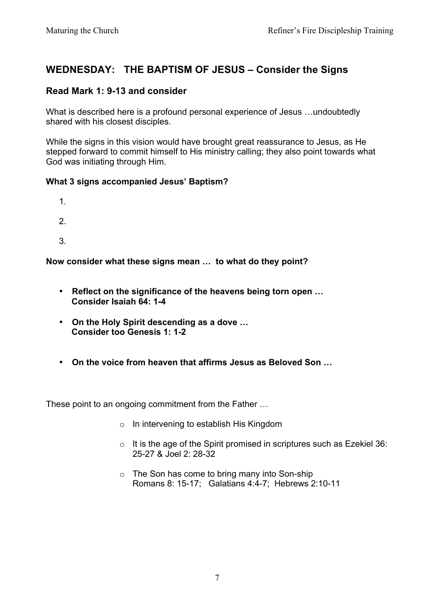# **WEDNESDAY: THE BAPTISM OF JESUS – Consider the Signs**

#### **Read Mark 1: 9-13 and consider**

What is described here is a profound personal experience of Jesus …undoubtedly shared with his closest disciples.

While the signs in this vision would have brought great reassurance to Jesus, as He stepped forward to commit himself to His ministry calling; they also point towards what God was initiating through Him.

#### **What 3 signs accompanied Jesus' Baptism?**

- 1.
- 2.
- 3.

**Now consider what these signs mean … to what do they point?**

- **Reflect on the significance of the heavens being torn open … Consider Isaiah 64: 1-4**
- **On the Holy Spirit descending as a dove … Consider too Genesis 1: 1-2**
- **On the voice from heaven that affirms Jesus as Beloved Son …**

These point to an ongoing commitment from the Father …

- o In intervening to establish His Kingdom
- $\circ$  It is the age of the Spirit promised in scriptures such as Ezekiel 36: 25-27 & Joel 2: 28-32
- o The Son has come to bring many into Son-ship Romans 8: 15-17; Galatians 4:4-7; Hebrews 2:10-11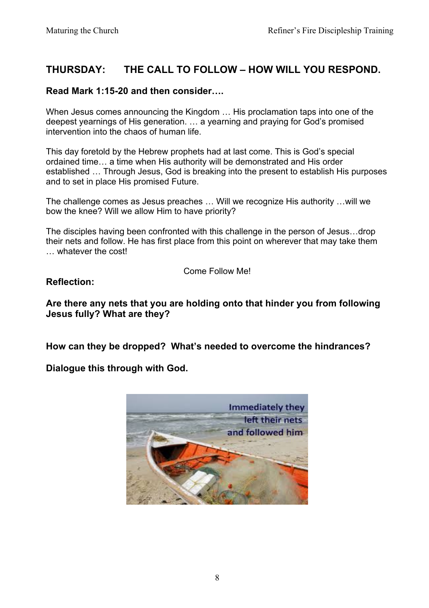# **THURSDAY: THE CALL TO FOLLOW – HOW WILL YOU RESPOND.**

#### **Read Mark 1:15-20 and then consider….**

When Jesus comes announcing the Kingdom … His proclamation taps into one of the deepest yearnings of His generation. … a yearning and praying for God's promised intervention into the chaos of human life.

This day foretold by the Hebrew prophets had at last come. This is God's special ordained time… a time when His authority will be demonstrated and His order established … Through Jesus, God is breaking into the present to establish His purposes and to set in place His promised Future.

The challenge comes as Jesus preaches … Will we recognize His authority …will we bow the knee? Will we allow Him to have priority?

The disciples having been confronted with this challenge in the person of Jesus…drop their nets and follow. He has first place from this point on wherever that may take them … whatever the cost!

Come Follow Me!

#### **Reflection:**

**Are there any nets that you are holding onto that hinder you from following Jesus fully? What are they?**

**How can they be dropped? What's needed to overcome the hindrances?**

**Dialogue this through with God.**

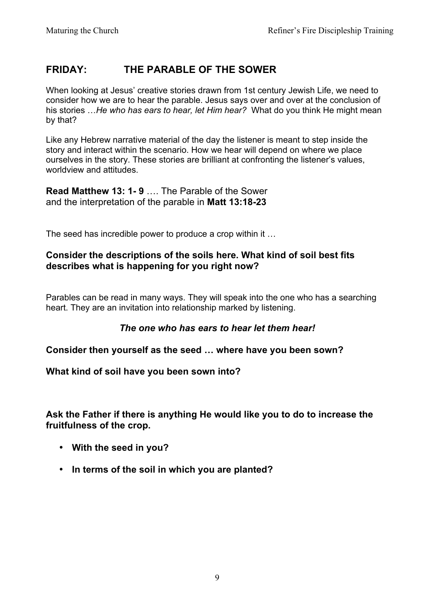# **FRIDAY: THE PARABLE OF THE SOWER**

When looking at Jesus' creative stories drawn from 1st century Jewish Life, we need to consider how we are to hear the parable. Jesus says over and over at the conclusion of his stories …*He who has ears to hear, let Him hear?* What do you think He might mean by that?

Like any Hebrew narrative material of the day the listener is meant to step inside the story and interact within the scenario. How we hear will depend on where we place ourselves in the story. These stories are brilliant at confronting the listener's values, worldview and attitudes.

**Read Matthew 13: 1- 9** …. The Parable of the Sower and the interpretation of the parable in **Matt 13:18-23**

The seed has incredible power to produce a crop within it …

#### **Consider the descriptions of the soils here. What kind of soil best fits describes what is happening for you right now?**

Parables can be read in many ways. They will speak into the one who has a searching heart. They are an invitation into relationship marked by listening.

#### *The one who has ears to hear let them hear!*

#### **Consider then yourself as the seed … where have you been sown?**

#### **What kind of soil have you been sown into?**

**Ask the Father if there is anything He would like you to do to increase the fruitfulness of the crop.**

- **With the seed in you?**
- **In terms of the soil in which you are planted?**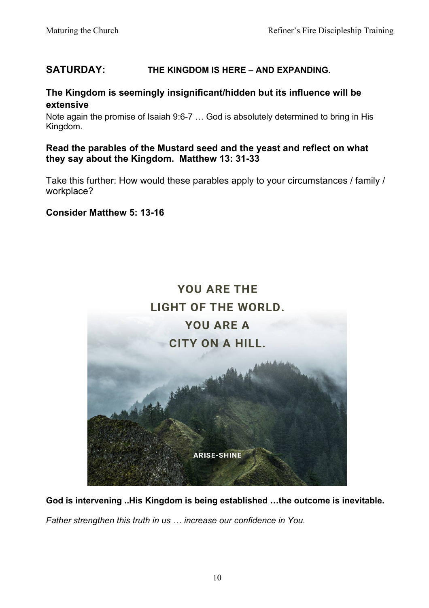## **SATURDAY: THE KINGDOM IS HERE – AND EXPANDING.**

#### **The Kingdom is seemingly insignificant/hidden but its influence will be extensive**

Note again the promise of Isaiah 9:6-7 … God is absolutely determined to bring in His Kingdom.

#### **Read the parables of the Mustard seed and the yeast and reflect on what they say about the Kingdom. Matthew 13: 31-33**

Take this further: How would these parables apply to your circumstances / family / workplace?

#### **Consider Matthew 5: 13-16**



**God is intervening ..His Kingdom is being established …the outcome is inevitable.** 

*Father strengthen this truth in us … increase our confidence in You.*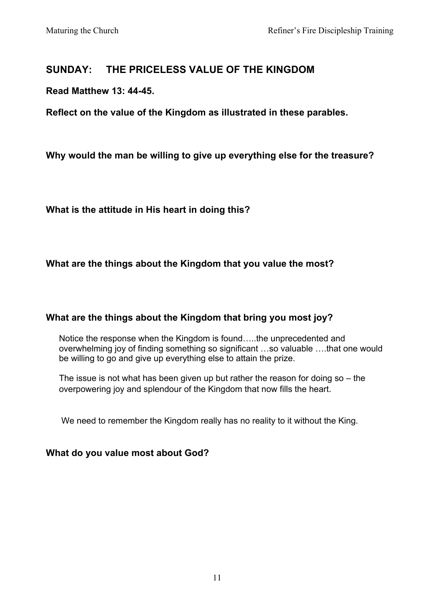# **SUNDAY: THE PRICELESS VALUE OF THE KINGDOM**

#### **Read Matthew 13: 44-45.**

**Reflect on the value of the Kingdom as illustrated in these parables.**

**Why would the man be willing to give up everything else for the treasure?**

**What is the attitude in His heart in doing this?**

#### **What are the things about the Kingdom that you value the most?**

#### **What are the things about the Kingdom that bring you most joy?**

Notice the response when the Kingdom is found…..the unprecedented and overwhelming joy of finding something so significant …so valuable ….that one would be willing to go and give up everything else to attain the prize.

The issue is not what has been given up but rather the reason for doing so – the overpowering joy and splendour of the Kingdom that now fills the heart.

We need to remember the Kingdom really has no reality to it without the King.

#### **What do you value most about God?**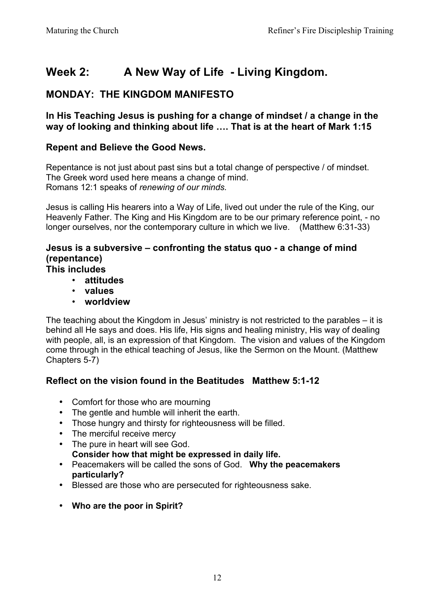# **Week 2: A New Way of Life - Living Kingdom.**

# **MONDAY: THE KINGDOM MANIFESTO**

**In His Teaching Jesus is pushing for a change of mindset / a change in the way of looking and thinking about life …. That is at the heart of Mark 1:15**

#### **Repent and Believe the Good News.**

Repentance is not just about past sins but a total change of perspective / of mindset. The Greek word used here means a change of mind. Romans 12:1 speaks of *renewing of our minds.*

Jesus is calling His hearers into a Way of Life, lived out under the rule of the King, our Heavenly Father. The King and His Kingdom are to be our primary reference point, - no longer ourselves, nor the contemporary culture in which we live.(Matthew 6:31-33)

#### **Jesus is a subversive – confronting the status quo - a change of mind (repentance)**

#### **This includes**

- **attitudes**
- **values**
- **worldview**

The teaching about the Kingdom in Jesus' ministry is not restricted to the parables – it is behind all He says and does. His life, His signs and healing ministry, His way of dealing with people, all, is an expression of that Kingdom. The vision and values of the Kingdom come through in the ethical teaching of Jesus, like the Sermon on the Mount. (Matthew Chapters 5-7)

#### **Reflect on the vision found in the Beatitudes Matthew 5:1-12**

- Comfort for those who are mourning
- The gentle and humble will inherit the earth.
- Those hungry and thirsty for righteousness will be filled.
- The merciful receive mercy
- The pure in heart will see God. **Consider how that might be expressed in daily life.**
- Peacemakers will be called the sons of God. **Why the peacemakers particularly?**
- Blessed are those who are persecuted for righteousness sake.
- **Who are the poor in Spirit?**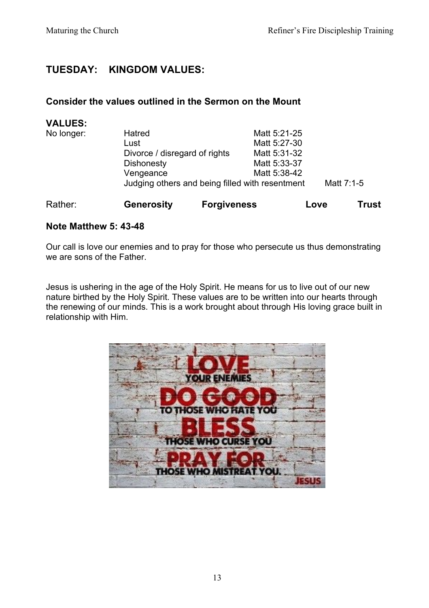# **TUESDAY: KINGDOM VALUES:**

#### **Consider the values outlined in the Sermon on the Mount**

| <b>Generosity</b>                                             |  |                               |                    | <b>Trust</b> |
|---------------------------------------------------------------|--|-------------------------------|--------------------|--------------|
| Judging others and being filled with resentment<br>Matt 7:1-5 |  |                               |                    |              |
| Vengeance                                                     |  | Matt 5:38-42                  |                    |              |
| <b>Dishonesty</b>                                             |  | Matt 5:33-37                  |                    |              |
|                                                               |  | Matt 5:31-32                  |                    |              |
| Lust                                                          |  | Matt 5:27-30                  |                    |              |
| Hatred                                                        |  | Matt 5:21-25                  |                    |              |
|                                                               |  |                               |                    |              |
|                                                               |  | Divorce / disregard of rights | <b>Forgiveness</b> | Love         |

#### **Note Matthew 5: 43-48**

Our call is love our enemies and to pray for those who persecute us thus demonstrating we are sons of the Father.

Jesus is ushering in the age of the Holy Spirit. He means for us to live out of our new nature birthed by the Holy Spirit. These values are to be written into our hearts through the renewing of our minds. This is a work brought about through His loving grace built in relationship with Him.

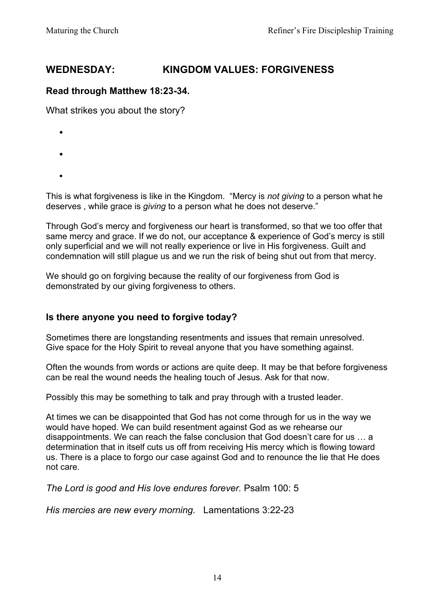# **WEDNESDAY: KINGDOM VALUES: FORGIVENESS**

#### **Read through Matthew 18:23-34.**

What strikes you about the story?

- •
- 
- •
- •

This is what forgiveness is like in the Kingdom. "Mercy is *not giving* to a person what he deserves , while grace is *giving* to a person what he does not deserve."

Through God's mercy and forgiveness our heart is transformed, so that we too offer that same mercy and grace. If we do not, our acceptance & experience of God's mercy is still only superficial and we will not really experience or live in His forgiveness. Guilt and condemnation will still plague us and we run the risk of being shut out from that mercy.

We should go on forgiving because the reality of our forgiveness from God is demonstrated by our giving forgiveness to others.

#### **Is there anyone you need to forgive today?**

Sometimes there are longstanding resentments and issues that remain unresolved. Give space for the Holy Spirit to reveal anyone that you have something against.

Often the wounds from words or actions are quite deep. It may be that before forgiveness can be real the wound needs the healing touch of Jesus. Ask for that now.

Possibly this may be something to talk and pray through with a trusted leader.

At times we can be disappointed that God has not come through for us in the way we would have hoped. We can build resentment against God as we rehearse our disappointments. We can reach the false conclusion that God doesn't care for us … a determination that in itself cuts us off from receiving His mercy which is flowing toward us. There is a place to forgo our case against God and to renounce the lie that He does not care.

*The Lord is good and His love endures forever.* Psalm 100: 5

*His mercies are new every morning.* Lamentations 3:22-23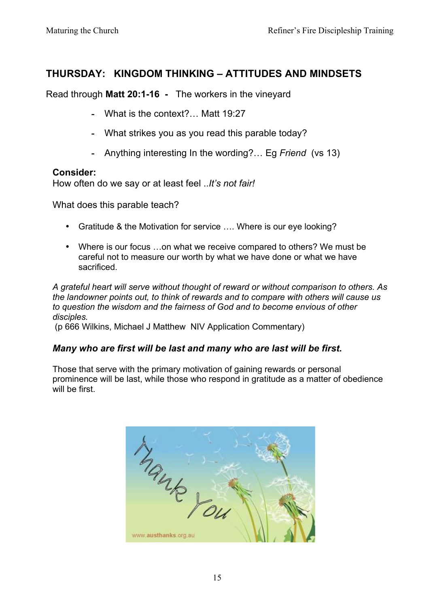# **THURSDAY: KINGDOM THINKING – ATTITUDES AND MINDSETS**

Read through **Matt 20:1-16 -** The workers in the vineyard

- **-** What is the context?… Matt 19:27
- **-** What strikes you as you read this parable today?
- **-** Anything interesting In the wording?… Eg *Friend* (vs 13)

#### **Consider:**

How often do we say or at least feel ..*It's not fair!*

What does this parable teach?

- Gratitude & the Motivation for service .... Where is our eve looking?
- Where is our focus …on what we receive compared to others? We must be careful not to measure our worth by what we have done or what we have sacrificed.

*A grateful heart will serve without thought of reward or without comparison to others. As the landowner points out, to think of rewards and to compare with others will cause us to question the wisdom and the fairness of God and to become envious of other disciples.* 

(p 666 Wilkins, Michael J Matthew NIV Application Commentary)

#### *Many who are first will be last and many who are last will be first.*

Those that serve with the primary motivation of gaining rewards or personal prominence will be last, while those who respond in gratitude as a matter of obedience will be first.

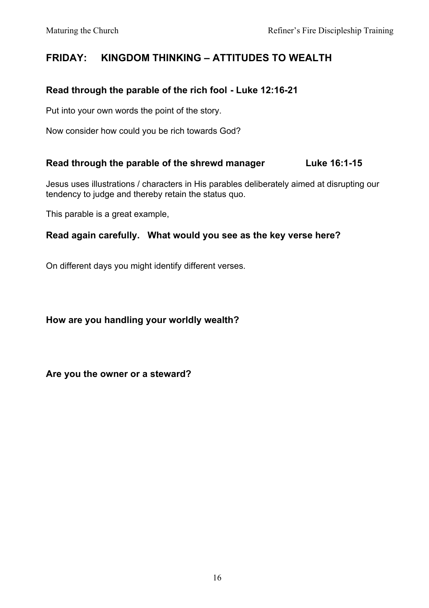# **FRIDAY: KINGDOM THINKING – ATTITUDES TO WEALTH**

#### **Read through the parable of the rich fool - Luke 12:16-21**

Put into your own words the point of the story.

Now consider how could you be rich towards God?

#### **Read through the parable of the shrewd manager Luke 16:1-15**

Jesus uses illustrations / characters in His parables deliberately aimed at disrupting our tendency to judge and thereby retain the status quo.

This parable is a great example,

#### **Read again carefully. What would you see as the key verse here?**

On different days you might identify different verses.

**How are you handling your worldly wealth?**

**Are you the owner or a steward?**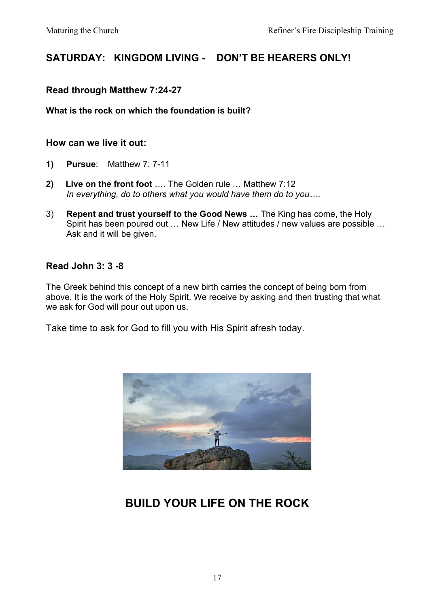# **SATURDAY: KINGDOM LIVING - DON'T BE HEARERS ONLY!**

#### **Read through Matthew 7:24-27**

#### **What is the rock on which the foundation is built?**

#### **How can we live it out:**

- **1) Pursue**: Matthew 7: 7-11
- **2) Live on the front foot** …. The Golden rule … Matthew 7:12 *In everything, do to others what you would have them do to you….*
- 3) **Repent and trust yourself to the Good News …** The King has come, the Holy Spirit has been poured out … New Life / New attitudes / new values are possible … Ask and it will be given.

#### **Read John 3: 3 -8**

The Greek behind this concept of a new birth carries the concept of being born from above. It is the work of the Holy Spirit. We receive by asking and then trusting that what we ask for God will pour out upon us.

Take time to ask for God to fill you with His Spirit afresh today.



# **BUILD YOUR LIFE ON THE ROCK**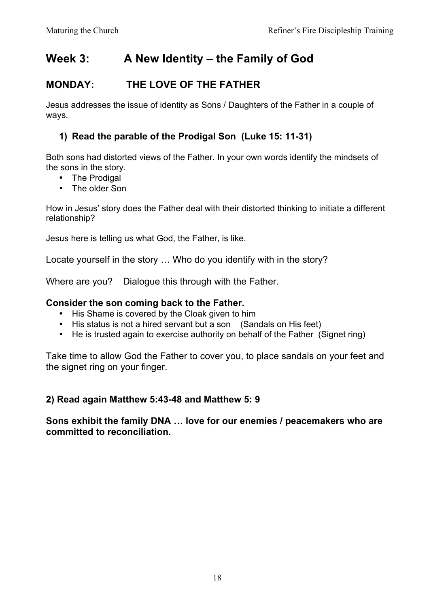# **Week 3: A New Identity – the Family of God**

# **MONDAY: THE LOVE OF THE FATHER**

Jesus addresses the issue of identity as Sons / Daughters of the Father in a couple of ways.

### **1) Read the parable of the Prodigal Son (Luke 15: 11-31)**

Both sons had distorted views of the Father. In your own words identify the mindsets of the sons in the story.

- The Prodigal
- The older Son

How in Jesus' story does the Father deal with their distorted thinking to initiate a different relationship?

Jesus here is telling us what God, the Father, is like.

Locate yourself in the story … Who do you identify with in the story?

Where are you? Dialogue this through with the Father.

#### **Consider the son coming back to the Father.**

- His Shame is covered by the Cloak given to him
- His status is not a hired servant but a son (Sandals on His feet)
- He is trusted again to exercise authority on behalf of the Father (Signet ring)

Take time to allow God the Father to cover you, to place sandals on your feet and the signet ring on your finger.

#### **2) Read again Matthew 5:43-48 and Matthew 5: 9**

**Sons exhibit the family DNA … love for our enemies / peacemakers who are committed to reconciliation.**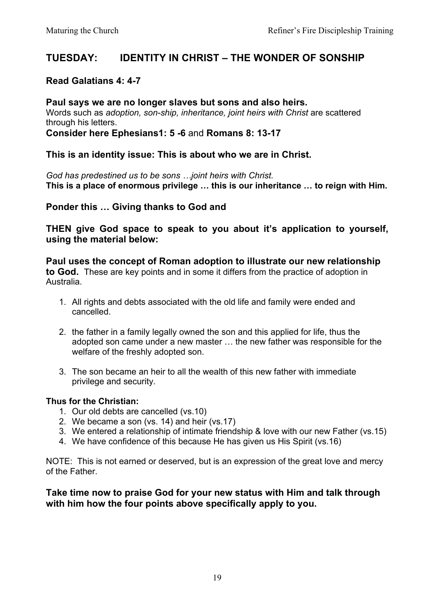## **TUESDAY: IDENTITY IN CHRIST – THE WONDER OF SONSHIP**

#### **Read Galatians 4: 4-7**

**Paul says we are no longer slaves but sons and also heirs.** Words such as *adoption, son-ship, inheritance, joint heirs with Christ* are scattered through his letters. **Consider here Ephesians1: 5 -6** and **Romans 8: 13-17**

**This is an identity issue: This is about who we are in Christ.**

*God has predestined us to be sons …joint heirs with Christ.* **This is a place of enormous privilege … this is our inheritance … to reign with Him.**

**Ponder this … Giving thanks to God and** 

**THEN give God space to speak to you about it's application to yourself, using the material below:**

**Paul uses the concept of Roman adoption to illustrate our new relationship to God.** These are key points and in some it differs from the practice of adoption in Australia.

- 1. All rights and debts associated with the old life and family were ended and cancelled.
- 2. the father in a family legally owned the son and this applied for life, thus the adopted son came under a new master … the new father was responsible for the welfare of the freshly adopted son.
- 3. The son became an heir to all the wealth of this new father with immediate privilege and security.

#### **Thus for the Christian:**

- 1. Our old debts are cancelled (vs.10)
- 2. We became a son (vs. 14) and heir (vs.17)
- 3. We entered a relationship of intimate friendship & love with our new Father (vs.15)
- 4. We have confidence of this because He has given us His Spirit (vs.16)

NOTE: This is not earned or deserved, but is an expression of the great love and mercy of the Father.

#### **Take time now to praise God for your new status with Him and talk through with him how the four points above specifically apply to you.**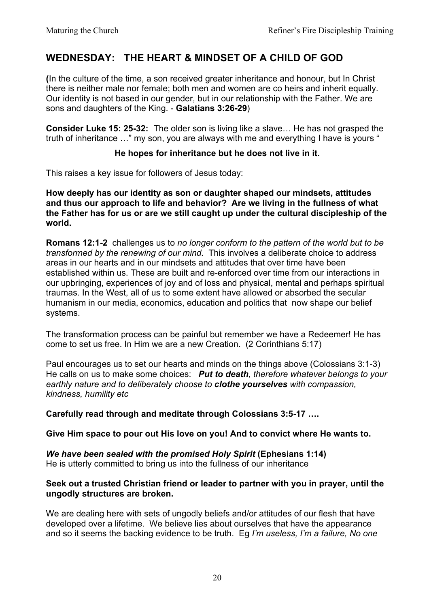# **WEDNESDAY: THE HEART & MINDSET OF A CHILD OF GOD**

**(**In the culture of the time, a son received greater inheritance and honour, but In Christ there is neither male nor female; both men and women are co heirs and inherit equally. Our identity is not based in our gender, but in our relationship with the Father. We are sons and daughters of the King. - **Galatians 3:26-29**)

**Consider Luke 15: 25-32:** The older son is living like a slave… He has not grasped the truth of inheritance …" my son, you are always with me and everything I have is yours "

#### **He hopes for inheritance but he does not live in it.**

This raises a key issue for followers of Jesus today:

**How deeply has our identity as son or daughter shaped our mindsets, attitudes and thus our approach to life and behavior? Are we living in the fullness of what the Father has for us or are we still caught up under the cultural discipleship of the world.**

**Romans 12:1-2** challenges us to *no longer conform to the pattern of the world but to be transformed by the renewing of our mind.* This involves a deliberate choice to address areas in our hearts and in our mindsets and attitudes that over time have been established within us. These are built and re-enforced over time from our interactions in our upbringing, experiences of joy and of loss and physical, mental and perhaps spiritual traumas. In the West, all of us to some extent have allowed or absorbed the secular humanism in our media, economics, education and politics that now shape our belief systems.

The transformation process can be painful but remember we have a Redeemer! He has come to set us free. In Him we are a new Creation. (2 Corinthians 5:17)

Paul encourages us to set our hearts and minds on the things above (Colossians 3:1-3) He calls on us to make some choices: *Put to death, therefore whatever belongs to your earthly nature and to deliberately choose to clothe yourselves with compassion, kindness, humility etc*

**Carefully read through and meditate through Colossians 3:5-17 ….** 

**Give Him space to pour out His love on you! And to convict where He wants to.**

*We have been sealed with the promised Holy Spirit* **(Ephesians 1:14)** He is utterly committed to bring us into the fullness of our inheritance

#### **Seek out a trusted Christian friend or leader to partner with you in prayer, until the ungodly structures are broken.**

We are dealing here with sets of ungodly beliefs and/or attitudes of our flesh that have developed over a lifetime. We believe lies about ourselves that have the appearance and so it seems the backing evidence to be truth. Eg *I'm useless, I'm a failure, No one*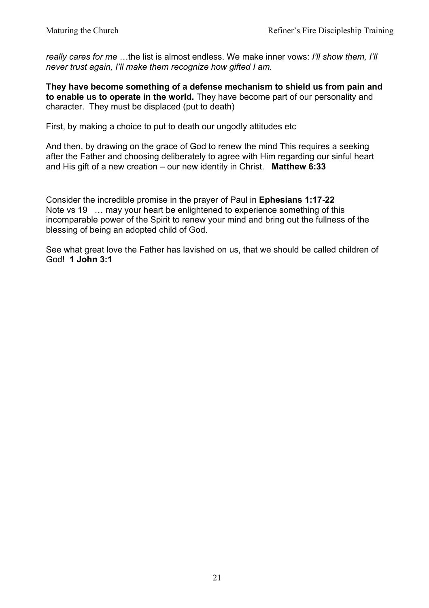*really cares for me* …the list is almost endless. We make inner vows: *I'll show them, I'll never trust again, I'll make them recognize how gifted I am.*

**They have become something of a defense mechanism to shield us from pain and to enable us to operate in the world.** They have become part of our personality and character. They must be displaced (put to death)

First, by making a choice to put to death our ungodly attitudes etc

And then, by drawing on the grace of God to renew the mind This requires a seeking after the Father and choosing deliberately to agree with Him regarding our sinful heart and His gift of a new creation – our new identity in Christ. **Matthew 6:33**

Consider the incredible promise in the prayer of Paul in **Ephesians 1:17-22** Note vs 19 … may your heart be enlightened to experience something of this incomparable power of the Spirit to renew your mind and bring out the fullness of the blessing of being an adopted child of God.

See what great love the Father has lavished on us, that we should be called children of God! **1 John 3:1**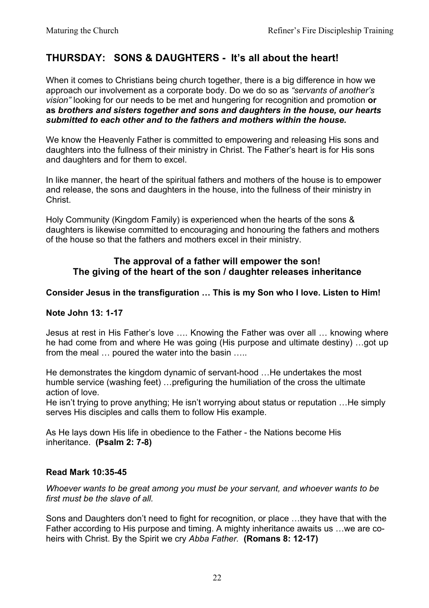# **THURSDAY: SONS & DAUGHTERS - It's all about the heart!**

When it comes to Christians being church together, there is a big difference in how we approach our involvement as a corporate body. Do we do so as *"servants of another's vision"* looking for our needs to be met and hungering for recognition and promotion **or as** *brothers and sisters together and sons and daughters in the house, our hearts submitted to each other and to the fathers and mothers within the house.*

We know the Heavenly Father is committed to empowering and releasing His sons and daughters into the fullness of their ministry in Christ. The Father's heart is for His sons and daughters and for them to excel.

In like manner, the heart of the spiritual fathers and mothers of the house is to empower and release, the sons and daughters in the house, into the fullness of their ministry in Christ.

Holy Community (Kingdom Family) is experienced when the hearts of the sons & daughters is likewise committed to encouraging and honouring the fathers and mothers of the house so that the fathers and mothers excel in their ministry.

#### **The approval of a father will empower the son! The giving of the heart of the son / daughter releases inheritance**

#### **Consider Jesus in the transfiguration … This is my Son who I love. Listen to Him!**

#### **Note John 13: 1-17**

Jesus at rest in His Father's love …. Knowing the Father was over all … knowing where he had come from and where He was going (His purpose and ultimate destiny) …got up from the meal … poured the water into the basin …..

He demonstrates the kingdom dynamic of servant-hood …He undertakes the most humble service (washing feet) …prefiguring the humiliation of the cross the ultimate action of love.

He isn't trying to prove anything; He isn't worrying about status or reputation …He simply serves His disciples and calls them to follow His example.

As He lays down His life in obedience to the Father - the Nations become His inheritance. **(Psalm 2: 7-8)**

#### **Read Mark 10:35-45**

*Whoever wants to be great among you must be your servant, and whoever wants to be first must be the slave of all.*

Sons and Daughters don't need to fight for recognition, or place …they have that with the Father according to His purpose and timing. A mighty inheritance awaits us …we are coheirs with Christ. By the Spirit we cry *Abba Father.* **(Romans 8: 12-17)**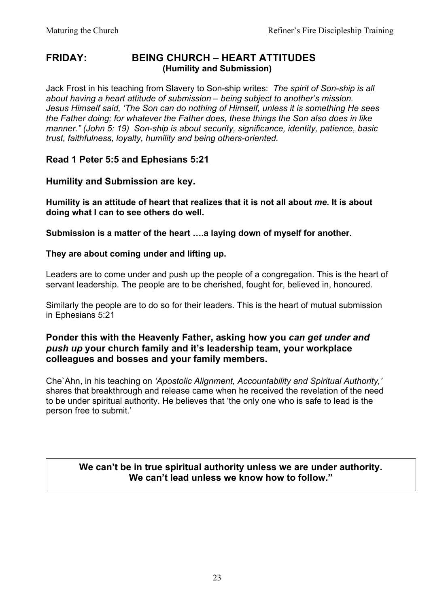#### **FRIDAY: BEING CHURCH – HEART ATTITUDES (Humility and Submission)**

Jack Frost in his teaching from Slavery to Son-ship writes: *The spirit of Son-ship is all about having a heart attitude of submission – being subject to another's mission. Jesus Himself said, 'The Son can do nothing of Himself, unless it is something He sees the Father doing; for whatever the Father does, these things the Son also does in like manner." (John 5: 19) Son-ship is about security, significance, identity, patience, basic trust, faithfulness, loyalty, humility and being others-oriented.* 

#### **Read 1 Peter 5:5 and Ephesians 5:21**

#### **Humility and Submission are key.**

**Humility is an attitude of heart that realizes that it is not all about** *me***. It is about doing what I can to see others do well.**

**Submission is a matter of the heart ….a laying down of myself for another.**

#### **They are about coming under and lifting up.**

Leaders are to come under and push up the people of a congregation. This is the heart of servant leadership. The people are to be cherished, fought for, believed in, honoured.

Similarly the people are to do so for their leaders. This is the heart of mutual submission in Ephesians 5:21

#### **Ponder this with the Heavenly Father, asking how you** *can get under and push up* **your church family and it's leadership team, your workplace colleagues and bosses and your family members.**

Che`Ahn, in his teaching on *'Apostolic Alignment, Accountability and Spiritual Authority,'*  shares that breakthrough and release came when he received the revelation of the need to be under spiritual authority. He believes that 'the only one who is safe to lead is the person free to submit.'

**We can't be in true spiritual authority unless we are under authority. We can't lead unless we know how to follow."**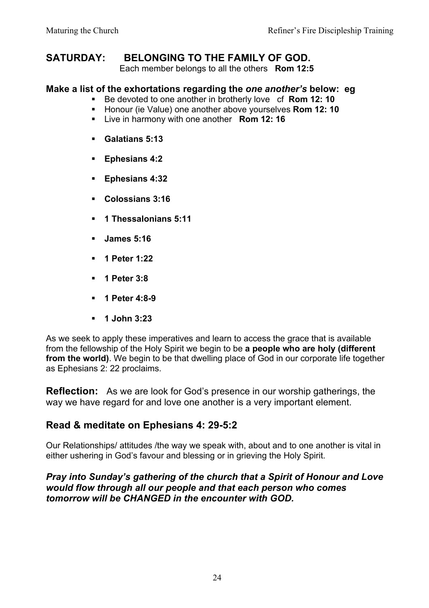## **SATURDAY: BELONGING TO THE FAMILY OF GOD.**

Each member belongs to all the others **Rom 12:5**

#### **Make a list of the exhortations regarding the** *one another's* **below: eg**

- Be devoted to one another in brotherly love cf **Rom 12: 10**
- Honour (ie Value) one another above vourselves **Rom 12: 10**
- § Live in harmony with one another **Rom 12: 16**
- § **Galatians 5:13**
- § **Ephesians 4:2**
- § **Ephesians 4:32**
- § **Colossians 3:16**
- § **1 Thessalonians 5:11**
- § **James 5:16**
- § **1 Peter 1:22**
- § **1 Peter 3:8**
- § **1 Peter 4:8-9**
- § **1 John 3:23**

As we seek to apply these imperatives and learn to access the grace that is available from the fellowship of the Holy Spirit we begin to be **a people who are holy (different from the world)**. We begin to be that dwelling place of God in our corporate life together as Ephesians 2: 22 proclaims.

**Reflection:** As we are look for God's presence in our worship gatherings, the way we have regard for and love one another is a very important element.

# **Read & meditate on Ephesians 4: 29-5:2**

Our Relationships/ attitudes /the way we speak with, about and to one another is vital in either ushering in God's favour and blessing or in grieving the Holy Spirit.

#### *Pray into Sunday's gathering of the church that a Spirit of Honour and Love would flow through all our people and that each person who comes tomorrow will be CHANGED in the encounter with GOD.*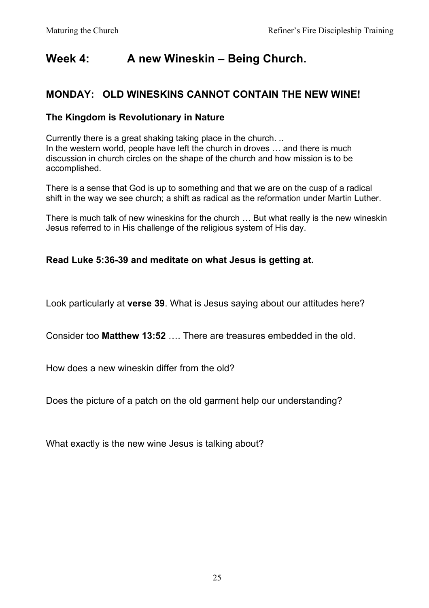# **Week 4: A new Wineskin – Being Church.**

# **MONDAY: OLD WINESKINS CANNOT CONTAIN THE NEW WINE!**

#### **The Kingdom is Revolutionary in Nature**

Currently there is a great shaking taking place in the church. .. In the western world, people have left the church in droves … and there is much discussion in church circles on the shape of the church and how mission is to be accomplished.

There is a sense that God is up to something and that we are on the cusp of a radical shift in the way we see church; a shift as radical as the reformation under Martin Luther.

There is much talk of new wineskins for the church … But what really is the new wineskin Jesus referred to in His challenge of the religious system of His day.

#### **Read Luke 5:36-39 and meditate on what Jesus is getting at.**

Look particularly at **verse 39**. What is Jesus saying about our attitudes here?

Consider too **Matthew 13:52** …. There are treasures embedded in the old.

How does a new wineskin differ from the old?

Does the picture of a patch on the old garment help our understanding?

What exactly is the new wine Jesus is talking about?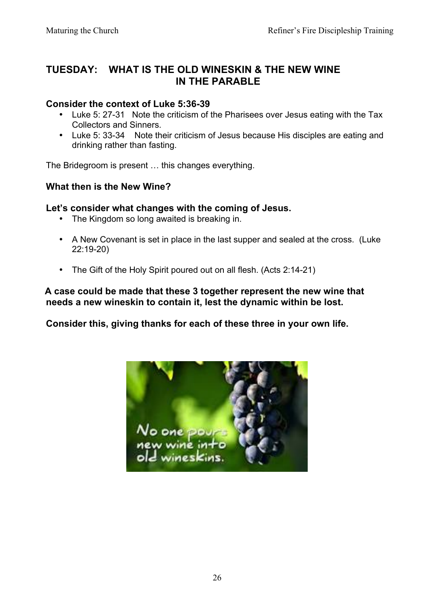# **TUESDAY: WHAT IS THE OLD WINESKIN & THE NEW WINE IN THE PARABLE**

#### **Consider the context of Luke 5:36-39**

- Luke 5: 27-31 Note the criticism of the Pharisees over Jesus eating with the Tax Collectors and Sinners.
- Luke 5: 33-34 Note their criticism of Jesus because His disciples are eating and drinking rather than fasting.

The Bridegroom is present … this changes everything.

#### **What then is the New Wine?**

#### **Let's consider what changes with the coming of Jesus.**

- The Kingdom so long awaited is breaking in.
- A New Covenant is set in place in the last supper and sealed at the cross. (Luke 22:19-20)
- The Gift of the Holy Spirit poured out on all flesh. (Acts 2:14-21)

#### **A case could be made that these 3 together represent the new wine that needs a new wineskin to contain it, lest the dynamic within be lost.**

#### **Consider this, giving thanks for each of these three in your own life.**

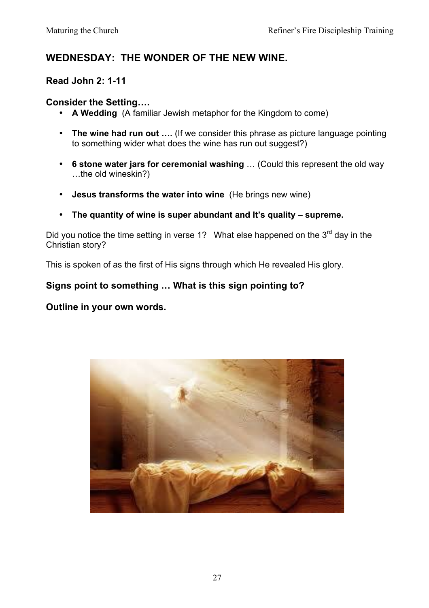# **WEDNESDAY: THE WONDER OF THE NEW WINE.**

#### **Read John 2: 1-11**

#### **Consider the Setting….**

- **A Wedding** (A familiar Jewish metaphor for the Kingdom to come)
- **The wine had run out ….** (If we consider this phrase as picture language pointing to something wider what does the wine has run out suggest?)
- **6 stone water jars for ceremonial washing** … (Could this represent the old way …the old wineskin?)
- **Jesus transforms the water into wine** (He brings new wine)
- **The quantity of wine is super abundant and It's quality – supreme.**

Did you notice the time setting in verse 1? What else happened on the  $3<sup>rd</sup>$  day in the Christian story?

This is spoken of as the first of His signs through which He revealed His glory.

## **Signs point to something … What is this sign pointing to?**

#### **Outline in your own words.**

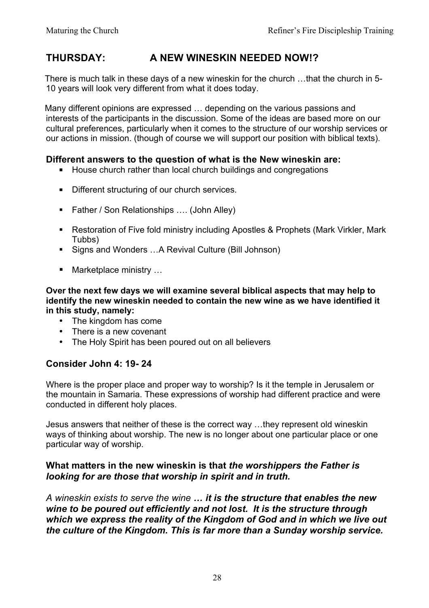# **THURSDAY: A NEW WINESKIN NEEDED NOW!?**

There is much talk in these days of a new wineskin for the church …that the church in 5- 10 years will look very different from what it does today.

Many different opinions are expressed … depending on the various passions and interests of the participants in the discussion. Some of the ideas are based more on our cultural preferences, particularly when it comes to the structure of our worship services or our actions in mission. (though of course we will support our position with biblical texts).

#### **Different answers to the question of what is the New wineskin are:**

- House church rather than local church buildings and congregations
- Different structuring of our church services.
- Father / Son Relationships .... (John Alley)
- Restoration of Five fold ministry including Apostles & Prophets (Mark Virkler, Mark Tubbs)
- Signs and Wonders …A Revival Culture (Bill Johnson)
- Marketplace ministry ...

**Over the next few days we will examine several biblical aspects that may help to identify the new wineskin needed to contain the new wine as we have identified it in this study, namely:**

- The kingdom has come
- There is a new covenant
- The Holy Spirit has been poured out on all believers

#### **Consider John 4: 19- 24**

Where is the proper place and proper way to worship? Is it the temple in Jerusalem or the mountain in Samaria. These expressions of worship had different practice and were conducted in different holy places.

Jesus answers that neither of these is the correct way …they represent old wineskin ways of thinking about worship. The new is no longer about one particular place or one particular way of worship.

#### **What matters in the new wineskin is that** *the worshippers the Father is looking for are those that worship in spirit and in truth.*

*A wineskin exists to serve the wine … it is the structure that enables the new wine to be poured out efficiently and not lost. It is the structure through which we express the reality of the Kingdom of God and in which we live out the culture of the Kingdom. This is far more than a Sunday worship service.*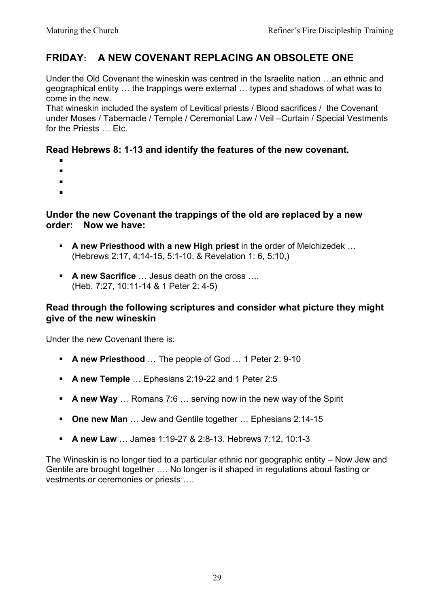# **FRIDAY: A NEW COVENANT REPLACING AN OBSOLETE ONE**

Under the Old Covenant the wineskin was centred in the Israelite nation …an ethnic and geographical entity … the trappings were external … types and shadows of what was to come in the new.

That wineskin included the system of Levitical priests / Blood sacrifices / the Covenant under Moses / Tabernacle / Temple / Ceremonial Law / Veil –Curtain / Special Vestments for the Priests … Etc.

#### **Read Hebrews 8: 1-13 and identify the features of the new covenant.**

- §
- §
- §
- §

#### **Under the new Covenant the trappings of the old are replaced by a new order: Now we have:**

- § **A new Priesthood with a new High priest** in the order of Melchizedek … (Hebrews 2:17, 4:14-15, 5:1-10, & Revelation 1: 6, 5:10,)
- § **A new Sacrifice** … Jesus death on the cross …. (Heb. 7:27, 10:11-14 & 1 Peter 2: 4-5)

#### **Read through the following scriptures and consider what picture they might give of the new wineskin**

Under the new Covenant there is:

- § **A new Priesthood** … The people of God … 1 Peter 2: 9-10
- § **A new Temple** … Ephesians 2:19-22 and 1 Peter 2:5
- § **A new Way** … Romans 7:6 … serving now in the new way of the Spirit
- § **One new Man** … Jew and Gentile together … Ephesians 2:14-15
- § **A new Law** … James 1:19-27 & 2:8-13. Hebrews 7:12, 10:1-3

The Wineskin is no longer tied to a particular ethnic nor geographic entity – Now Jew and Gentile are brought together …. No longer is it shaped in regulations about fasting or vestments or ceremonies or priests ….